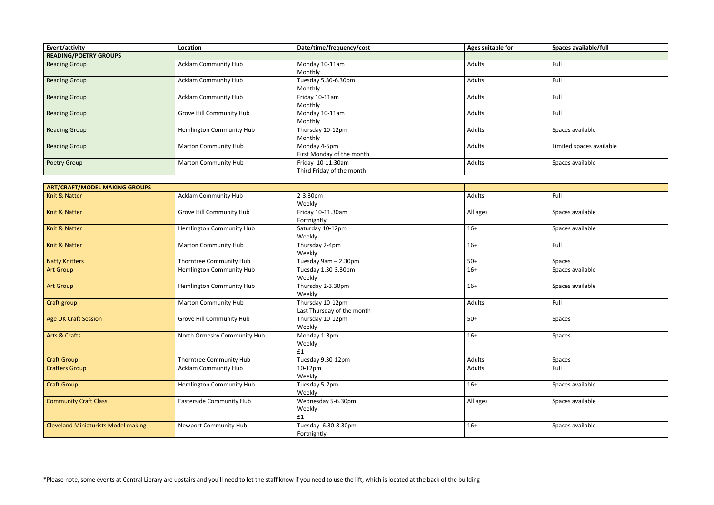| Event/activity               | Location                    | Date/time/frequency/cost  | Ages suitable for | Spaces available/full    |
|------------------------------|-----------------------------|---------------------------|-------------------|--------------------------|
| <b>READING/POETRY GROUPS</b> |                             |                           |                   |                          |
| <b>Reading Group</b>         | <b>Acklam Community Hub</b> | Monday 10-11am            | Adults            | Full                     |
|                              |                             | Monthly                   |                   |                          |
| <b>Reading Group</b>         | <b>Acklam Community Hub</b> | Tuesday 5.30-6.30pm       | Adults            | Full                     |
|                              |                             | Monthly                   |                   |                          |
| <b>Reading Group</b>         | <b>Acklam Community Hub</b> | Friday 10-11am            | Adults            | Full                     |
|                              |                             | Monthly                   |                   |                          |
| <b>Reading Group</b>         | Grove Hill Community Hub    | Monday 10-11am            | Adults            | Full                     |
|                              |                             | Monthly                   |                   |                          |
| <b>Reading Group</b>         | Hemlington Community Hub    | Thursday 10-12pm          | Adults            | Spaces available         |
|                              |                             | Monthly                   |                   |                          |
| <b>Reading Group</b>         | <b>Marton Community Hub</b> | Monday 4-5pm              | Adults            | Limited spaces available |
|                              |                             | First Monday of the month |                   |                          |
| Poetry Group                 | <b>Marton Community Hub</b> | Friday 10-11:30am         | Adults            | Spaces available         |
|                              |                             | Third Friday of the month |                   |                          |

| <b>ART/CRAFT/MODEL MAKING GROUPS</b>       |                                 |                            |          |                  |
|--------------------------------------------|---------------------------------|----------------------------|----------|------------------|
| Knit & Natter                              | Acklam Community Hub            | 2-3.30pm                   | Adults   | Full             |
|                                            |                                 | Weekly                     |          |                  |
| Knit & Natter                              | <b>Grove Hill Community Hub</b> | Friday 10-11.30am          | All ages | Spaces available |
|                                            |                                 | Fortnightly                |          |                  |
| Knit & Natter                              | <b>Hemlington Community Hub</b> | Saturday 10-12pm           | $16+$    | Spaces available |
|                                            |                                 | Weekly                     |          |                  |
| <b>Knit &amp; Natter</b>                   | <b>Marton Community Hub</b>     | Thursday 2-4pm             | $16+$    | Full             |
|                                            |                                 | Weekly                     |          |                  |
| <b>Natty Knitters</b>                      | Thorntree Community Hub         | Tuesday 9am - 2.30pm       | $50+$    | Spaces           |
| <b>Art Group</b>                           | <b>Hemlington Community Hub</b> | Tuesday 1.30-3.30pm        | $16+$    | Spaces available |
|                                            |                                 | Weekly                     |          |                  |
| <b>Art Group</b>                           | Hemlington Community Hub        | Thursday 2-3.30pm          | $16+$    | Spaces available |
|                                            |                                 | Weekly                     |          |                  |
| Craft group                                | <b>Marton Community Hub</b>     | Thursday 10-12pm           | Adults   | Full             |
|                                            |                                 | Last Thursday of the month |          |                  |
| <b>Age UK Craft Session</b>                | <b>Grove Hill Community Hub</b> | Thursday 10-12pm           | $50+$    | Spaces           |
|                                            |                                 | Weekly                     |          |                  |
| <b>Arts &amp; Crafts</b>                   | North Ormesby Community Hub     | Monday 1-3pm               | $16+$    | Spaces           |
|                                            |                                 | Weekly                     |          |                  |
|                                            |                                 | £1                         |          |                  |
| <b>Craft Group</b>                         | Thorntree Community Hub         | Tuesday 9.30-12pm          | Adults   | Spaces           |
| <b>Crafters Group</b>                      | <b>Acklam Community Hub</b>     | 10-12pm                    | Adults   | Full             |
|                                            |                                 | Weekly                     |          |                  |
| <b>Craft Group</b>                         | Hemlington Community Hub        | Tuesday 5-7pm              | $16+$    | Spaces available |
|                                            |                                 | Weekly                     |          |                  |
| <b>Community Craft Class</b>               | <b>Easterside Community Hub</b> | Wednesday 5-6.30pm         | All ages | Spaces available |
|                                            |                                 | Weekly                     |          |                  |
|                                            |                                 | £1                         |          |                  |
| <b>Cleveland Miniaturists Model making</b> | <b>Newport Community Hub</b>    | Tuesday 6.30-8.30pm        | $16+$    | Spaces available |
|                                            |                                 | Fortnightly                |          |                  |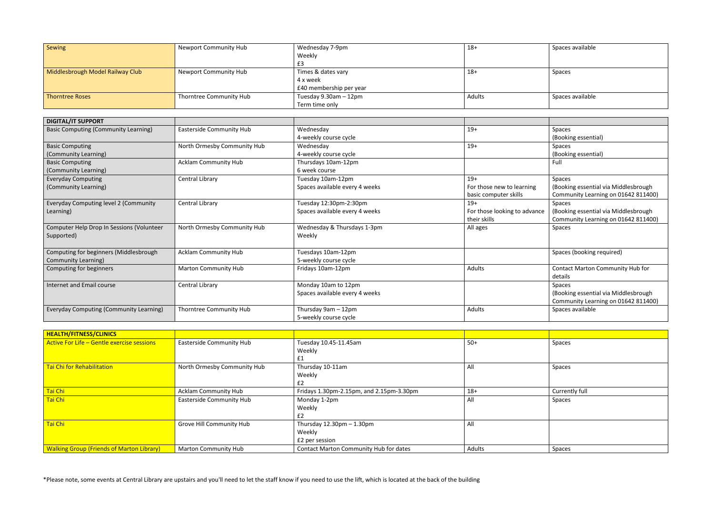| Sewing                           | Newport Community Hub   | Wednesday 7-9pm         | $18+$  | Spaces available |
|----------------------------------|-------------------------|-------------------------|--------|------------------|
|                                  |                         | Weekly                  |        |                  |
|                                  |                         |                         |        |                  |
| Middlesbrough Model Railway Club | Newport Community Hub   | Times & dates vary      | $18 +$ | Spaces           |
|                                  |                         | 4 x week                |        |                  |
|                                  |                         | £40 membership per year |        |                  |
| Thorntree Roses                  | Thorntree Community Hub | Tuesday 9.30am - 12pm   | Adults | Spaces available |
|                                  |                         | Term time only          |        |                  |

| <b>DIGITAL/IT SUPPORT</b>                      |                             |                                |                              |                                      |
|------------------------------------------------|-----------------------------|--------------------------------|------------------------------|--------------------------------------|
| <b>Basic Computing (Community Learning)</b>    | Easterside Community Hub    | Wednesday                      | $19+$                        | Spaces                               |
|                                                |                             | 4-weekly course cycle          |                              | (Booking essential)                  |
| <b>Basic Computing</b>                         | North Ormesby Community Hub | Wednesday                      | $19+$                        | Spaces                               |
| (Community Learning)                           |                             | 4-weekly course cycle          |                              | (Booking essential)                  |
| <b>Basic Computing</b>                         | <b>Acklam Community Hub</b> | Thursdays 10am-12pm            |                              | Full                                 |
| (Community Learning)                           |                             | 6 week course                  |                              |                                      |
| <b>Everyday Computing</b>                      | Central Library             | Tuesday 10am-12pm              | $19+$                        | Spaces                               |
| (Community Learning)                           |                             | Spaces available every 4 weeks | For those new to learning    | (Booking essential via Middlesbrough |
|                                                |                             |                                | basic computer skills        | Community Learning on 01642 811400)  |
| Everyday Computing level 2 (Community          | Central Library             | Tuesday 12:30pm-2:30pm         | $19+$                        | Spaces                               |
| Learning)                                      |                             | Spaces available every 4 weeks | For those looking to advance | (Booking essential via Middlesbrough |
|                                                |                             |                                | their skills                 | Community Learning on 01642 811400)  |
| Computer Help Drop In Sessions (Volunteer      | North Ormesby Community Hub | Wednesday & Thursdays 1-3pm    | All ages                     | Spaces                               |
| Supported)                                     |                             | Weekly                         |                              |                                      |
|                                                |                             |                                |                              |                                      |
| Computing for beginners (Middlesbrough         | <b>Acklam Community Hub</b> | Tuesdays 10am-12pm             |                              | Spaces (booking required)            |
| Community Learning)                            |                             | 5-weekly course cycle          |                              |                                      |
| Computing for beginners                        | Marton Community Hub        | Fridays 10am-12pm              | Adults                       | Contact Marton Community Hub for     |
|                                                |                             |                                |                              | details                              |
| Internet and Email course                      | Central Library             | Monday 10am to 12pm            |                              | Spaces                               |
|                                                |                             | Spaces available every 4 weeks |                              | (Booking essential via Middlesbrough |
|                                                |                             |                                |                              | Community Learning on 01642 811400)  |
| <b>Everyday Computing (Community Learning)</b> | Thorntree Community Hub     | Thursday 9am - 12pm            | Adults                       | Spaces available                     |
|                                                |                             | 5-weekly course cycle          |                              |                                      |

| HEALTH/FITNESS/CLINICS                           |                                 |                                             |        |                |
|--------------------------------------------------|---------------------------------|---------------------------------------------|--------|----------------|
| Active For Life - Gentle exercise sessions       | <b>Easterside Community Hub</b> | Tuesday 10.45-11.45am                       | $50+$  | Spaces         |
|                                                  |                                 | Weekly                                      |        |                |
|                                                  |                                 |                                             |        |                |
| Tai Chi for Rehabilitation                       | North Ormesby Community Hub     | Thursday 10-11am                            | All    | Spaces         |
|                                                  |                                 | Weekly                                      |        |                |
|                                                  |                                 | E2                                          |        |                |
| Tai Chi                                          | <b>Acklam Community Hub</b>     | Fridays 1.30pm-2.15pm, and 2.15pm-3.30pm    | $18+$  | Currently full |
| Tai Chi                                          | Easterside Community Hub        | Monday 1-2pm                                | All    | Spaces         |
|                                                  |                                 | Weekly                                      |        |                |
|                                                  |                                 | £2                                          |        |                |
| Tai Chi                                          | <b>Grove Hill Community Hub</b> | Thursday $12.30 \text{pm} - 1.30 \text{pm}$ | All    |                |
|                                                  |                                 | Weekly                                      |        |                |
|                                                  |                                 | £2 per session                              |        |                |
| <b>Walking Group (Friends of Marton Library)</b> | <b>Marton Community Hub</b>     | Contact Marton Community Hub for dates      | Adults | Spaces         |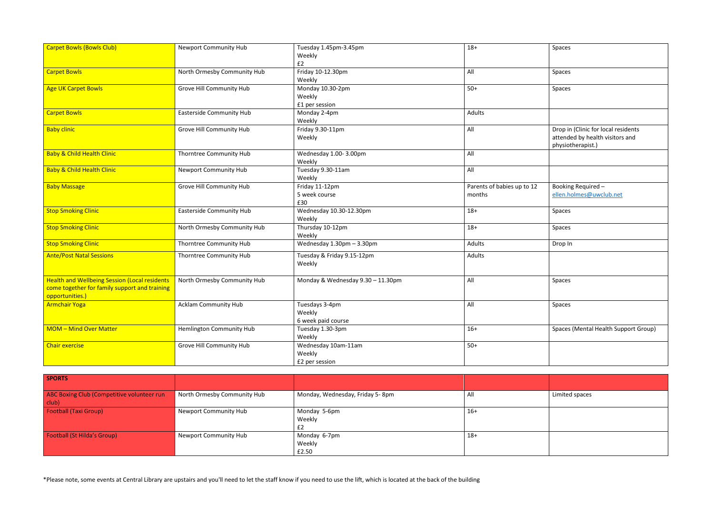| $18+$                                | Spaces                                                                                      |
|--------------------------------------|---------------------------------------------------------------------------------------------|
| All                                  | Spaces                                                                                      |
| $50+$                                | Spaces                                                                                      |
| <b>Adults</b>                        |                                                                                             |
| All                                  | Drop in (Clinic for local residents<br>attended by health visitors and<br>physiotherapist.) |
| All                                  |                                                                                             |
| All                                  |                                                                                             |
| Parents of babies up to 12<br>months | Booking Required -<br>ellen.holmes@uwclub.net                                               |
| $18+$                                | Spaces                                                                                      |
| $18+$                                | Spaces                                                                                      |
| Adults                               | Drop In                                                                                     |
| Adults                               |                                                                                             |
| All                                  | Spaces                                                                                      |
| All                                  | Spaces                                                                                      |
| $16+$                                | Spaces (Mental Health Support Group)                                                        |
| $50+$                                |                                                                                             |
|                                      |                                                                                             |

| <b>Carpet Bowls (Bowls Club)</b>                                                                                         | <b>Newport Community Hub</b>    | Tuesday 1.45pm-3.45pm<br>Weekly<br>E2           | $18+$                                | Spaces                         |
|--------------------------------------------------------------------------------------------------------------------------|---------------------------------|-------------------------------------------------|--------------------------------------|--------------------------------|
| <b>Carpet Bowls</b>                                                                                                      | North Ormesby Community Hub     | Friday 10-12.30pm<br>Weekly                     | All                                  | Spaces                         |
| <b>Age UK Carpet Bowls</b>                                                                                               | Grove Hill Community Hub        | Monday 10.30-2pm<br>Weekly<br>£1 per session    | $50+$                                | Spaces                         |
| <b>Carpet Bowls</b>                                                                                                      | <b>Easterside Community Hub</b> | Monday 2-4pm<br>Weekly                          | Adults                               |                                |
| <b>Baby clinic</b>                                                                                                       | Grove Hill Community Hub        | Friday 9.30-11pm<br>Weekly                      | All                                  | Drop in<br>attende<br>physiotl |
| <b>Baby &amp; Child Health Clinic</b>                                                                                    | Thorntree Community Hub         | Wednesday 1.00-3.00pm<br>Weekly                 | All                                  |                                |
| <b>Baby &amp; Child Health Clinic</b>                                                                                    | <b>Newport Community Hub</b>    | Tuesday 9.30-11am<br>Weekly                     | All                                  |                                |
| <b>Baby Massage</b>                                                                                                      | Grove Hill Community Hub        | Friday 11-12pm<br>5 week course<br>£30          | Parents of babies up to 12<br>months | Booking<br>ellen.ho            |
| <b>Stop Smoking Clinic</b>                                                                                               | <b>Easterside Community Hub</b> | Wednesday 10.30-12.30pm<br>Weekly               | $18+$                                | Spaces                         |
| <b>Stop Smoking Clinic</b>                                                                                               | North Ormesby Community Hub     | Thursday 10-12pm<br>Weekly                      | $18+$                                | Spaces                         |
| <b>Stop Smoking Clinic</b>                                                                                               | Thorntree Community Hub         | Wednesday 1.30pm - 3.30pm                       | Adults                               | Drop In                        |
| <b>Ante/Post Natal Sessions</b>                                                                                          | Thorntree Community Hub         | Tuesday & Friday 9.15-12pm<br>Weekly            | Adults                               |                                |
| <b>Health and Wellbeing Session (Local residents</b><br>come together for family support and training<br>opportunities.) | North Ormesby Community Hub     | Monday & Wednesday 9.30 - 11.30pm               | All                                  | Spaces                         |
| <b>Armchair Yoga</b>                                                                                                     | <b>Acklam Community Hub</b>     | Tuesdays 3-4pm<br>Weekly<br>6 week paid course  | All                                  | Spaces                         |
| <b>MOM-Mind Over Matter</b>                                                                                              | <b>Hemlington Community Hub</b> | Tuesday 1.30-3pm<br>Weekly                      | $16+$                                | Spaces (                       |
| <b>Chair exercise</b>                                                                                                    | Grove Hill Community Hub        | Wednesday 10am-11am<br>Weekly<br>£2 per session | $50+$                                |                                |

| <b>SPORTS</b>                                       |                              |                                 |       |                |
|-----------------------------------------------------|------------------------------|---------------------------------|-------|----------------|
| ABC Boxing Club (Competitive volunteer run<br>club) | North Ormesby Community Hub  | Monday, Wednesday, Friday 5-8pm | AI    | Limited spaces |
| <b>Football (Taxi Group)</b>                        | <b>Newport Community Hub</b> | Monday 5-6pm<br>Weekly          | $16+$ |                |
| <b>Football (St Hilda's Group)</b>                  | <b>Newport Community Hub</b> | Monday 6-7pm<br>Weekly<br>£2.50 | $18+$ |                |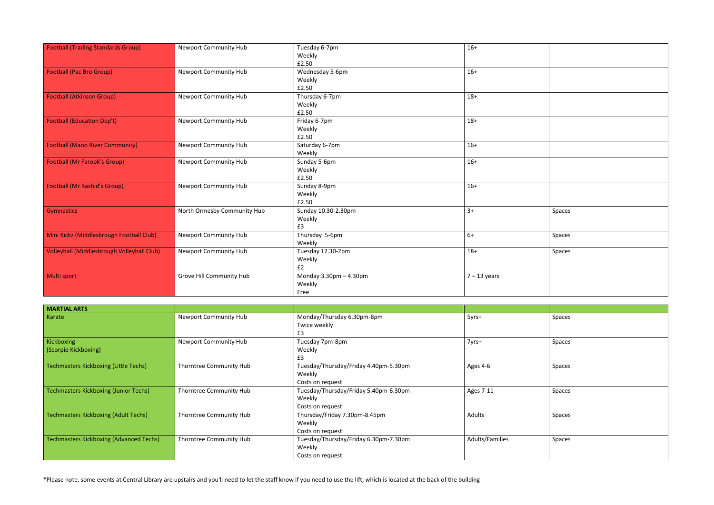| <b>Football (Trading Standards Group)</b>         | <b>Newport Community Hub</b> | Tuesday 6-7pm<br>Weekly     | $16+$          |        |
|---------------------------------------------------|------------------------------|-----------------------------|----------------|--------|
|                                                   |                              | £2.50                       |                |        |
| <b>Football (Pac Bro Group)</b>                   | Newport Community Hub        | Wednesday 5-6pm             | $16+$          |        |
|                                                   |                              | Weekly                      |                |        |
|                                                   |                              | £2.50                       |                |        |
| <b>Football (Atkinson Group)</b>                  | <b>Newport Community Hub</b> | Thursday 6-7pm              | $18+$          |        |
|                                                   |                              | Weekly                      |                |        |
|                                                   |                              | £2.50                       |                |        |
| <b>Football (Education Dep't)</b>                 | <b>Newport Community Hub</b> | Friday 6-7pm                | $18+$          |        |
|                                                   |                              | Weekly                      |                |        |
|                                                   |                              | £2.50                       |                |        |
| <b>Football (Mano River Community)</b>            | <b>Newport Community Hub</b> | Saturday 6-7pm              | $16+$          |        |
|                                                   |                              | Weekly                      |                |        |
| <b>Football (Mr Farook's Group)</b>               | <b>Newport Community Hub</b> | Sunday 5-6pm                | $16+$          |        |
|                                                   |                              | Weekly                      |                |        |
|                                                   |                              | £2.50                       |                |        |
| <b>Football (Mr Rashid's Group)</b>               | <b>Newport Community Hub</b> | Sunday 8-9pm                | $16+$          |        |
|                                                   |                              | Weekly                      |                |        |
|                                                   |                              | £2.50                       |                |        |
| <b>Gymnastics</b>                                 | North Ormesby Community Hub  | Sunday 10.30-2.30pm         | $3+$           | Spaces |
|                                                   |                              | Weekly                      |                |        |
|                                                   |                              | £3                          |                |        |
| Mini Kickz (Middlesbrough Football Club)          | <b>Newport Community Hub</b> | Thursday 5-6pm              | $6+$           | Spaces |
|                                                   |                              | Weekly                      |                |        |
| <b>Volleyball (Middlesbrough Volleyball Club)</b> | <b>Newport Community Hub</b> | Tuesday 12.30-2pm           | $18+$          | Spaces |
|                                                   |                              | Weekly                      |                |        |
|                                                   |                              | E2                          |                |        |
| Multi sport                                       | Grove Hill Community Hub     | Monday $3.30$ pm $-4.30$ pm | $7 - 13$ years |        |
|                                                   |                              | Weekly                      |                |        |
|                                                   |                              | Free                        |                |        |

| Spaces |
|--------|
| Spaces |
| Spaces |
|        |

| <b>MARTIAL ARTS</b>                            |                              |                                                                     |                 |        |
|------------------------------------------------|------------------------------|---------------------------------------------------------------------|-----------------|--------|
| Karate                                         | <b>Newport Community Hub</b> | Monday/Thursday 6.30pm-8pm<br>Twice weekly<br>£3                    | 5yrs+           | Spaces |
| Kickboxing<br>(Scorpio Kickboxing)             | <b>Newport Community Hub</b> | Tuesday 7pm-8pm<br>Weekly<br>£3                                     | 7yrs+           | Spaces |
| <b>Techmasters Kickboxing (Little Techs)</b>   | Thorntree Community Hub      | Tuesday/Thursday/Friday 4.40pm-5.30pm<br>Weekly<br>Costs on request | Ages 4-6        | Spaces |
| <b>Techmasters Kickboxing (Junior Techs)</b>   | Thorntree Community Hub      | Tuesday/Thursday/Friday 5.40pm-6.30pm<br>Weekly<br>Costs on request | Ages 7-11       | Spaces |
| <b>Techmasters Kickboxing (Adult Techs)</b>    | Thorntree Community Hub      | Thursday/Friday 7.30pm-8.45pm<br>Weekly<br>Costs on request         | Adults          | Spaces |
| <b>Techmasters Kickboxing (Advanced Techs)</b> | Thorntree Community Hub      | Tuesday/Thursday/Friday 6.30pm-7.30pm<br>Weekly<br>Costs on request | Adults/Families | Spaces |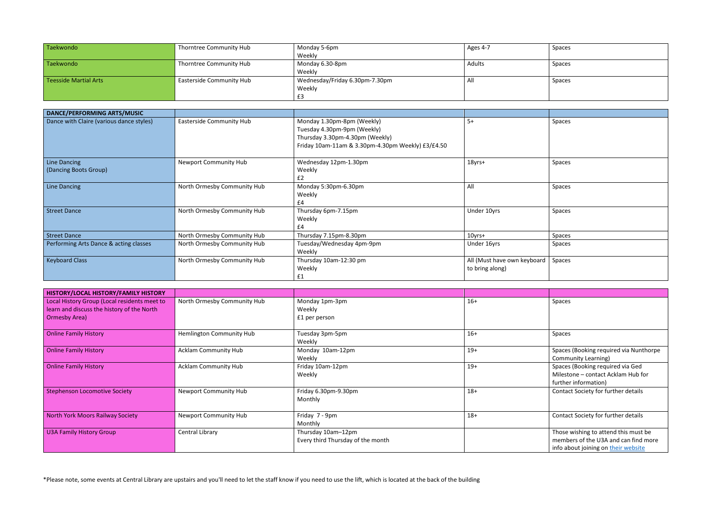| Taekwondo             | Thorntree Community Hub         | Monday 5-6pm                   | Ages 4-7 | Spaces |
|-----------------------|---------------------------------|--------------------------------|----------|--------|
|                       |                                 | Weekly                         |          |        |
| Taekwondo             | Thorntree Community Hub         | Monday 6.30-8pm                | Adults   | Spaces |
|                       |                                 | Weekly                         |          |        |
| Teesside Martial Arts | <b>Easterside Community Hub</b> | Wednesday/Friday 6.30pm-7.30pm | AI       | Spaces |
|                       |                                 | Weekly                         |          |        |
|                       |                                 | t.≾                            |          |        |

| <b>DANCE/PERFORMING ARTS/MUSIC</b>       |                                 |                                                                                                                                                   |                             |        |
|------------------------------------------|---------------------------------|---------------------------------------------------------------------------------------------------------------------------------------------------|-----------------------------|--------|
| Dance with Claire (various dance styles) | <b>Easterside Community Hub</b> | Monday 1.30pm-8pm (Weekly)<br>Tuesday 4.30pm-9pm (Weekly)<br>Thursday 3.30pm-4.30pm (Weekly)<br>Friday 10am-11am & 3.30pm-4.30pm Weekly) £3/£4.50 | $5+$                        | Spaces |
| <b>Line Dancing</b>                      | <b>Newport Community Hub</b>    | Wednesday 12pm-1.30pm                                                                                                                             | 18yrs+                      | Spaces |
| (Dancing Boots Group)                    |                                 | Weekly<br>E2                                                                                                                                      |                             |        |
| <b>Line Dancing</b>                      | North Ormesby Community Hub     | Monday 5:30pm-6.30pm<br>Weekly<br>£4                                                                                                              | All                         | Spaces |
| <b>Street Dance</b>                      | North Ormesby Community Hub     | Thursday 6pm-7.15pm<br>Weekly<br>£4                                                                                                               | Under 10yrs                 | Spaces |
| <b>Street Dance</b>                      | North Ormesby Community Hub     | Thursday 7.15pm-8.30pm                                                                                                                            | $10$ yrs+                   | Spaces |
| Performing Arts Dance & acting classes   | North Ormesby Community Hub     | Tuesday/Wednesday 4pm-9pm<br>Weekly                                                                                                               | Under 16yrs                 | Spaces |
| <b>Keyboard Class</b>                    | North Ormesby Community Hub     | Thursday 10am-12:30 pm                                                                                                                            | All (Must have own keyboard | Spaces |
|                                          |                                 | Weekly                                                                                                                                            | to bring along)             |        |
|                                          |                                 | £1                                                                                                                                                |                             |        |

| HISTORY/LOCAL HISTORY/FAMILY HISTORY                                                                        |                              |                                                         |       |                                                                                                                     |
|-------------------------------------------------------------------------------------------------------------|------------------------------|---------------------------------------------------------|-------|---------------------------------------------------------------------------------------------------------------------|
| Local History Group (Local residents meet to<br>learn and discuss the history of the North<br>Ormesby Area) | North Ormesby Community Hub  | Monday 1pm-3pm<br>Weekly<br>£1 per person               | $16+$ | Spaces                                                                                                              |
| <b>Online Family History</b>                                                                                | Hemlington Community Hub     | Tuesday 3pm-5pm<br>Weekly                               | $16+$ | Spaces                                                                                                              |
| <b>Online Family History</b>                                                                                | <b>Acklam Community Hub</b>  | Monday 10am-12pm<br>Weekly                              | $19+$ | Spaces (Booking required via Nunthorpe<br><b>Community Learning)</b>                                                |
| <b>Online Family History</b>                                                                                | <b>Acklam Community Hub</b>  | Friday 10am-12pm<br>Weekly                              | $19+$ | Spaces (Booking required via Ged<br>Milestone - contact Acklam Hub for<br>further information)                      |
| <b>Stephenson Locomotive Society</b>                                                                        | <b>Newport Community Hub</b> | Friday 6.30pm-9.30pm<br>Monthly                         | $18+$ | Contact Society for further details                                                                                 |
| North York Moors Railway Society                                                                            | <b>Newport Community Hub</b> | Friday 7 - 9pm<br>Monthly                               | $18+$ | Contact Society for further details                                                                                 |
| <b>U3A Family History Group</b>                                                                             | Central Library              | Thursday 10am-12pm<br>Every third Thursday of the month |       | Those wishing to attend this must be<br>members of the U3A and can find more<br>info about joining on their website |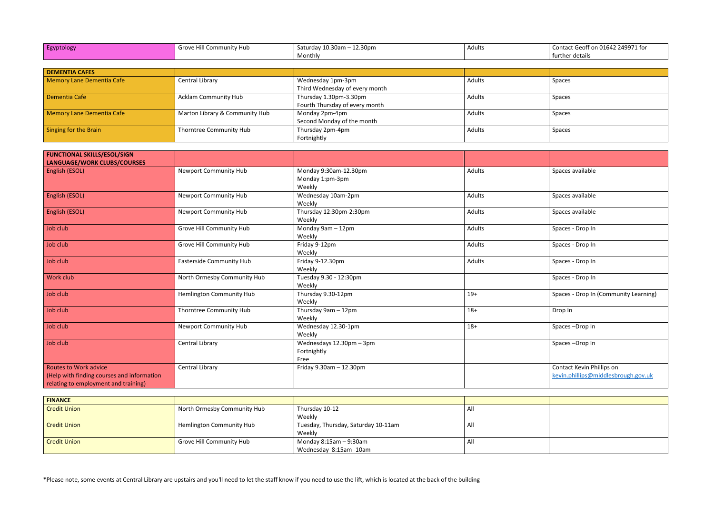| Egyptology | .<br>e Hill Community Hub<br>$-1.50$ | $10.30$ am $-$<br>.30pm<br>Saturday | Adults |
|------------|--------------------------------------|-------------------------------------|--------|
|            |                                      | Monthly                             |        |

| Egyptology                       | Grove Hill Community Hub       | Saturday $10.30$ am $- 12.30$ pm | Adults | Contact Geoff on 01642 249971 for |
|----------------------------------|--------------------------------|----------------------------------|--------|-----------------------------------|
|                                  |                                | Monthly                          |        | further details                   |
|                                  |                                |                                  |        |                                   |
| <b>DEMENTIA CAFES</b>            |                                |                                  |        |                                   |
| <b>Memory Lane Dementia Cafe</b> | Central Library                | Wednesday 1pm-3pm                | Adults | Spaces                            |
|                                  |                                | Third Wednesday of every month   |        |                                   |
| Dementia Cafe                    | <b>Acklam Community Hub</b>    | Thursday 1.30pm-3.30pm           | Adults | Spaces                            |
|                                  |                                | Fourth Thursday of every month   |        |                                   |
| <b>Memory Lane Dementia Cafe</b> | Marton Library & Community Hub | Monday 2pm-4pm                   | Adults | Spaces                            |
|                                  |                                | Second Monday of the month       |        |                                   |
| Singing for the Brain            | Thorntree Community Hub        | Thursday 2pm-4pm                 | Adults | Spaces                            |
|                                  |                                | Fortnightly                      |        |                                   |

| <b>FUNCTIONAL SKILLS/ESOL/SIGN</b><br>LANGUAGE/WORK CLUBS/COURSES                                                  |                                 |                                                    |               |                                                                  |
|--------------------------------------------------------------------------------------------------------------------|---------------------------------|----------------------------------------------------|---------------|------------------------------------------------------------------|
| <b>English (ESOL)</b>                                                                                              | <b>Newport Community Hub</b>    | Monday 9:30am-12.30pm<br>Monday 1:pm-3pm<br>Weekly | Adults        | Spaces available                                                 |
| English (ESOL)                                                                                                     | <b>Newport Community Hub</b>    | Wednesday 10am-2pm<br>Weekly                       | Adults        | Spaces available                                                 |
| <b>English (ESOL)</b>                                                                                              | <b>Newport Community Hub</b>    | Thursday 12:30pm-2:30pm<br>Weekly                  | Adults        | Spaces available                                                 |
| Job club                                                                                                           | Grove Hill Community Hub        | Monday 9am - 12pm<br>Weekly                        | Adults        | Spaces - Drop In                                                 |
| Job club                                                                                                           | Grove Hill Community Hub        | Friday 9-12pm<br>Weekly                            | <b>Adults</b> | Spaces - Drop In                                                 |
| Job club                                                                                                           | <b>Easterside Community Hub</b> | Friday 9-12.30pm<br>Weekly                         | <b>Adults</b> | Spaces - Drop In                                                 |
| Work club                                                                                                          | North Ormesby Community Hub     | Tuesday 9.30 - 12:30pm<br>Weekly                   |               | Spaces - Drop In                                                 |
| Job club                                                                                                           | Hemlington Community Hub        | Thursday 9.30-12pm<br>Weekly                       | $19+$         | Spaces - Drop In (Community Learning)                            |
| Job club                                                                                                           | Thorntree Community Hub         | Thursday 9am - 12pm<br>Weekly                      | $18+$         | Drop In                                                          |
| Job club                                                                                                           | <b>Newport Community Hub</b>    | Wednesday 12.30-1pm<br>Weekly                      | $18+$         | Spaces-Drop In                                                   |
| Job club                                                                                                           | Central Library                 | Wednesdays 12.30pm - 3pm<br>Fortnightly<br>Free    |               | Spaces-Drop In                                                   |
| <b>Routes to Work advice</b><br>(Help with finding courses and information<br>relating to employment and training) | Central Library                 | Friday 9.30am - 12.30pm                            |               | Contact Kevin Phillips on<br>kevin.phillips@middlesbrough.gov.uk |

| <b>FINANCE</b>      |                                 |                                     |     |  |
|---------------------|---------------------------------|-------------------------------------|-----|--|
| <b>Credit Union</b> | North Ormesby Community Hub     | Thursday 10-12                      | All |  |
|                     |                                 | Weekly                              |     |  |
| <b>Credit Union</b> | <b>Hemlington Community Hub</b> | Tuesday, Thursday, Saturday 10-11am | All |  |
|                     |                                 | Weekly                              |     |  |
| <b>Credit Union</b> | Grove Hill Community Hub        | Monday 8:15am – 9:30am              | All |  |
|                     |                                 | Wednesday 8:15am -10am              |     |  |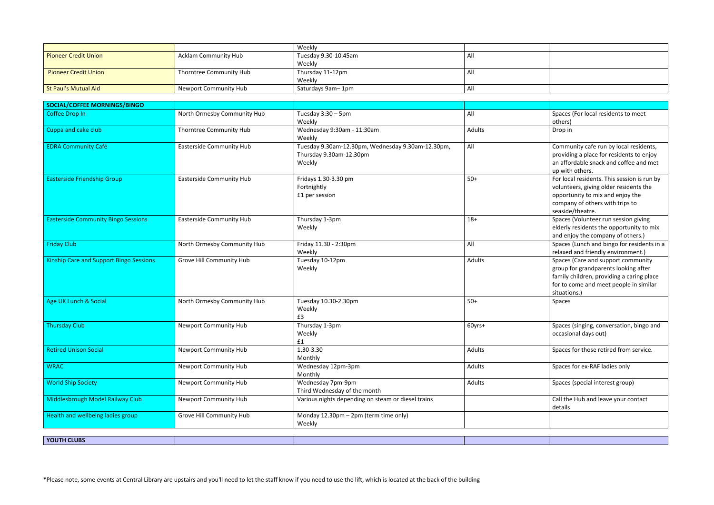|                             |                         | Weekly               |     |  |
|-----------------------------|-------------------------|----------------------|-----|--|
| <b>Pioneer Credit Union</b> | Acklam Community Hub    | Tuesday 9.30-10.45am |     |  |
|                             |                         | Weekly               |     |  |
| <b>Pioneer Credit Union</b> | Thorntree Community Hub | Thursday 11-12pm     | ΓN. |  |
|                             |                         | Weekly               |     |  |
| St Paul's Mutual Aid        | Newport Community Hub   | Saturdays 9am-1pm    |     |  |

| SOCIAL/COFFEE MORNINGS/BINGO                   |                                 |                                                                                        |        |                                                                                                                                                                                   |
|------------------------------------------------|---------------------------------|----------------------------------------------------------------------------------------|--------|-----------------------------------------------------------------------------------------------------------------------------------------------------------------------------------|
| Coffee Drop In                                 | North Ormesby Community Hub     | Tuesday 3:30 - 5pm<br>Weekly                                                           | All    | Spaces (For local residents to meet<br>others)                                                                                                                                    |
| Cuppa and cake club                            | Thorntree Community Hub         | Wednesday 9:30am - 11:30am<br>Weekly                                                   | Adults | Drop in                                                                                                                                                                           |
| <b>EDRA Community Café</b>                     | <b>Easterside Community Hub</b> | Tuesday 9.30am-12.30pm, Wednesday 9.30am-12.30pm,<br>Thursday 9.30am-12.30pm<br>Weekly | All    | Community cafe run by local residents,<br>providing a place for residents to enjoy<br>an affordable snack and coffee and met<br>up with others.                                   |
| <b>Easterside Friendship Group</b>             | <b>Easterside Community Hub</b> | Fridays 1.30-3.30 pm<br>Fortnightly<br>£1 per session                                  | $50+$  | For local residents. This session is run by<br>volunteers, giving older residents the<br>opportunity to mix and enjoy the<br>company of others with trips to<br>seaside/theatre.  |
| <b>Easterside Community Bingo Sessions</b>     | <b>Easterside Community Hub</b> | Thursday 1-3pm<br>Weekly                                                               | $18+$  | Spaces (Volunteer run session giving<br>elderly residents the opportunity to mix<br>and enjoy the company of others.)                                                             |
| <b>Friday Club</b>                             | North Ormesby Community Hub     | Friday 11.30 - 2:30pm<br>Weekly                                                        | All    | Spaces (Lunch and bingo for residents in a<br>relaxed and friendly environment.)                                                                                                  |
| <b>Kinship Care and Support Bingo Sessions</b> | Grove Hill Community Hub        | Tuesday 10-12pm<br>Weekly                                                              | Adults | Spaces (Care and support community<br>group for grandparents looking after<br>family children, providing a caring place<br>for to come and meet people in similar<br>situations.) |
| Age UK Lunch & Social                          | North Ormesby Community Hub     | Tuesday 10.30-2.30pm<br>Weekly<br>£3                                                   | $50+$  | Spaces                                                                                                                                                                            |
| <b>Thursday Club</b>                           | Newport Community Hub           | Thursday 1-3pm<br>Weekly<br>£1                                                         | 60yrs+ | Spaces (singing, conversation, bingo and<br>occasional days out)                                                                                                                  |
| <b>Retired Unison Social</b>                   | <b>Newport Community Hub</b>    | 1.30-3.30<br>Monthly                                                                   | Adults | Spaces for those retired from service.                                                                                                                                            |
| <b>WRAC</b>                                    | <b>Newport Community Hub</b>    | Wednesday 12pm-3pm<br>Monthly                                                          | Adults | Spaces for ex-RAF ladies only                                                                                                                                                     |
| <b>World Ship Society</b>                      | <b>Newport Community Hub</b>    | Wednesday 7pm-9pm<br>Third Wednesday of the month                                      | Adults | Spaces (special interest group)                                                                                                                                                   |
| Middlesbrough Model Railway Club               | Newport Community Hub           | Various nights depending on steam or diesel trains                                     |        | Call the Hub and leave your contact<br>details                                                                                                                                    |
| Health and wellbeing ladies group              | Grove Hill Community Hub        | Monday 12.30pm - 2pm (term time only)<br>Weekly                                        |        |                                                                                                                                                                                   |
|                                                |                                 |                                                                                        |        |                                                                                                                                                                                   |
| <b>YOUTH CLUBS</b>                             |                                 |                                                                                        |        |                                                                                                                                                                                   |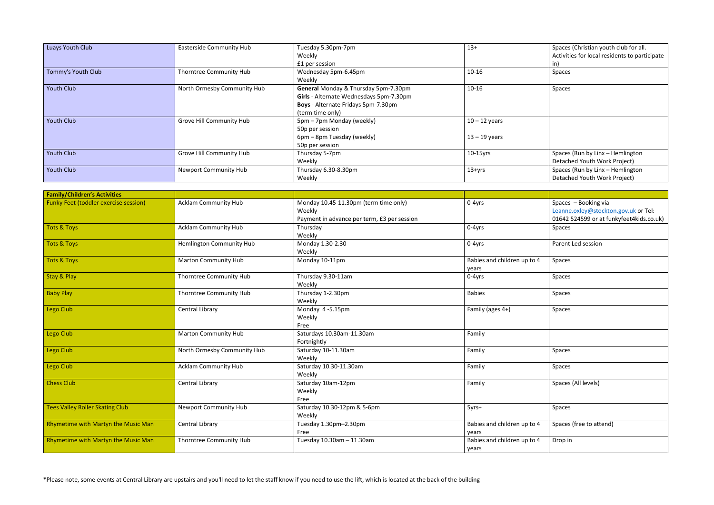| Luays Youth Club   | <b>Easterside Community Hub</b> | Tuesday 5.30pm-7pm                      | $13+$           | Spaces   |
|--------------------|---------------------------------|-----------------------------------------|-----------------|----------|
|                    |                                 | Weekly                                  |                 | Activiti |
|                    |                                 | £1 per session                          |                 | in)      |
| Tommy's Youth Club | Thorntree Community Hub         | Wednesday 5pm-6.45pm                    | $10 - 16$       | Spaces   |
|                    |                                 | Weekly                                  |                 |          |
| <b>Youth Club</b>  | North Ormesby Community Hub     | General Monday & Thursday 5pm-7.30pm    | $10 - 16$       | Spaces   |
|                    |                                 | Girls - Alternate Wednesdays 5pm-7.30pm |                 |          |
|                    |                                 | Boys - Alternate Fridays 5pm-7.30pm     |                 |          |
|                    |                                 | (term time only)                        |                 |          |
| <b>Youth Club</b>  | Grove Hill Community Hub        | 5pm - 7pm Monday (weekly)               | $10 - 12$ years |          |
|                    |                                 | 50p per session                         |                 |          |
|                    |                                 | 6pm – 8pm Tuesday (weekly)              | $13 - 19$ years |          |
|                    |                                 | 50p per session                         |                 |          |
| <b>Youth Club</b>  | Grove Hill Community Hub        | Thursday 5-7pm                          | $10-15$ yrs     | Spaces   |
|                    |                                 | Weekly                                  |                 | Detach   |
| <b>Youth Club</b>  | <b>Newport Community Hub</b>    | Thursday 6.30-8.30pm                    | $13 + yrs$      | Spaces   |
|                    |                                 | Weekly                                  |                 | Detach   |

| $13+$           | Spaces (Christian youth club for all.<br>Activities for local residents to participate |
|-----------------|----------------------------------------------------------------------------------------|
|                 | in)                                                                                    |
| 10-16           | Spaces                                                                                 |
| 10-16           | <b>Spaces</b>                                                                          |
| $10 - 12$ years |                                                                                        |
| $13 - 19$ years |                                                                                        |
| 10-15yrs        | Spaces (Run by Linx - Hemlington<br>Detached Youth Work Project)                       |
| $13 + yrs$      | Spaces (Run by Linx - Hemlington<br>Detached Youth Work Project)                       |
|                 |                                                                                        |

| <b>Family/Children's Activities</b>    |                                 |                                             |                                      |                                          |
|----------------------------------------|---------------------------------|---------------------------------------------|--------------------------------------|------------------------------------------|
| Funky Feet (toddler exercise session)  | <b>Acklam Community Hub</b>     | Monday 10.45-11.30pm (term time only)       | 0-4yrs                               | Spaces - Booking via                     |
|                                        |                                 | Weekly                                      |                                      | Leanne.oxley@stockton.gov.uk or Tel:     |
|                                        |                                 | Payment in advance per term, £3 per session |                                      | 01642 524599 or at funkyfeet4kids.co.uk) |
|                                        |                                 |                                             |                                      |                                          |
| <b>Tots &amp; Toys</b>                 | <b>Acklam Community Hub</b>     | Thursday                                    | 0-4yrs                               | Spaces                                   |
|                                        |                                 | Weekly                                      |                                      |                                          |
| <b>Tots &amp; Toys</b>                 | <b>Hemlington Community Hub</b> | Monday 1.30-2.30                            | 0-4yrs                               | Parent Led session                       |
|                                        |                                 | Weekly                                      |                                      |                                          |
| <b>Tots &amp; Toys</b>                 | <b>Marton Community Hub</b>     | Monday 10-11pm                              | Babies and children up to 4          | Spaces                                   |
|                                        |                                 |                                             | years                                |                                          |
| <b>Stay &amp; Play</b>                 | Thorntree Community Hub         | Thursday 9.30-11am                          | 0-4yrs                               | Spaces                                   |
|                                        |                                 | Weekly                                      |                                      |                                          |
| <b>Baby Play</b>                       | <b>Thorntree Community Hub</b>  | Thursday 1-2.30pm                           | <b>Babies</b>                        | Spaces                                   |
|                                        |                                 | Weekly                                      |                                      |                                          |
| Lego Club                              | Central Library                 | Monday 4-5.15pm                             | Family (ages 4+)                     | Spaces                                   |
|                                        |                                 | Weekly                                      |                                      |                                          |
|                                        |                                 | Free                                        |                                      |                                          |
| Lego Club                              | <b>Marton Community Hub</b>     | Saturdays 10.30am-11.30am                   | Family                               |                                          |
|                                        |                                 | Fortnightly                                 |                                      |                                          |
| Lego Club                              | North Ormesby Community Hub     | Saturday 10-11.30am                         | Family                               | Spaces                                   |
|                                        |                                 | Weekly                                      |                                      |                                          |
| Lego Club                              | <b>Acklam Community Hub</b>     | Saturday 10.30-11.30am                      | Family                               | Spaces                                   |
|                                        |                                 | Weekly                                      |                                      |                                          |
| <b>Chess Club</b>                      | Central Library                 | Saturday 10am-12pm                          | Family                               | Spaces (All levels)                      |
|                                        |                                 | Weekly                                      |                                      |                                          |
|                                        |                                 | Free                                        |                                      |                                          |
| <b>Tees Valley Roller Skating Club</b> | <b>Newport Community Hub</b>    | Saturday 10.30-12pm & 5-6pm                 | 5yrs+                                | <b>Spaces</b>                            |
|                                        |                                 | Weekly                                      |                                      |                                          |
| Rhymetime with Martyn the Music Man    | Central Library                 | Tuesday 1.30pm-2.30pm                       | Babies and children up to 4          | Spaces (free to attend)                  |
|                                        |                                 | Free                                        |                                      |                                          |
| Rhymetime with Martyn the Music Man    | <b>Thorntree Community Hub</b>  | Tuesday 10.30am - 11.30am                   | years<br>Babies and children up to 4 |                                          |
|                                        |                                 |                                             |                                      | Drop in                                  |
|                                        |                                 |                                             | years                                |                                          |